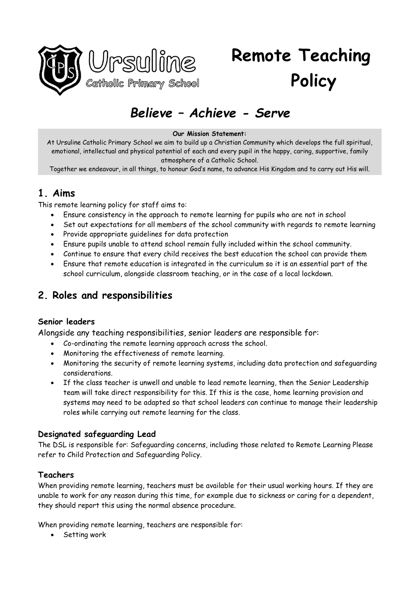

# *Believe – Achieve - Serve*

#### **Our Mission Statement:**

At Ursuline Catholic Primary School we aim to build up a Christian Community which develops the full spiritual, emotional, intellectual and physical potential of each and every pupil in the happy, caring, supportive, family atmosphere of a Catholic School.

Together we endeavour, in all things, to honour God's name, to advance His Kingdom and to carry out His will.

### **1. Aims**

This remote learning policy for staff aims to:

- Ensure consistency in the approach to remote learning for pupils who are not in school
- Set out expectations for all members of the school community with regards to remote learning
- Provide appropriate guidelines for data protection
- Ensure pupils unable to attend school remain fully included within the school community.
- Continue to ensure that every child receives the best education the school can provide them
- Ensure that remote education is integrated in the curriculum so it is an essential part of the school curriculum, alongside classroom teaching, or in the case of a local lockdown.

### **2. Roles and responsibilities**

#### **Senior leaders**

Alongside any teaching responsibilities, senior leaders are responsible for:

- Co-ordinating the remote learning approach across the school.
- Monitoring the effectiveness of remote learning.
- Monitoring the security of remote learning systems, including data protection and safeguarding considerations.
- If the class teacher is unwell and unable to lead remote learning, then the Senior Leadership team will take direct responsibility for this. If this is the case, home learning provision and systems may need to be adapted so that school leaders can continue to manage their leadership roles while carrying out remote learning for the class.

#### **Designated safeguarding Lead**

The DSL is responsible for: Safeguarding concerns, including those related to Remote Learning Please refer to Child Protection and Safeguarding Policy.

#### **Teachers**

When providing remote learning, teachers must be available for their usual working hours. If they are unable to work for any reason during this time, for example due to sickness or caring for a dependent, they should report this using the normal absence procedure.

When providing remote learning, teachers are responsible for:

• Setting work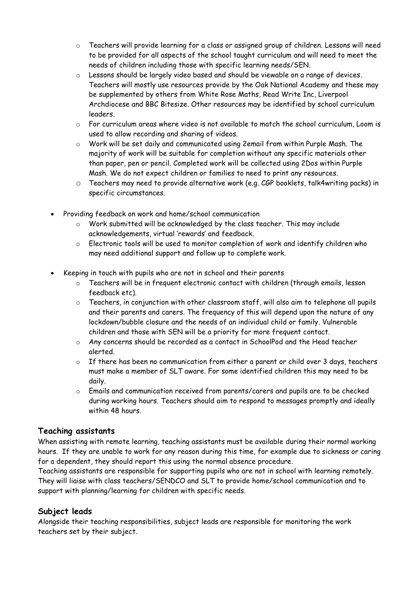- o Teachers will provide learning for a class or assigned group of children. Lessons will need to be provided for all aspects of the school taught curriculum and will need to meet the needs of children including those with specific learning needs/SEN.
- $\circ$  Lessons should be largely video based and should be viewable on a range of devices. Teachers will mostly use resources provide by the Oak National Academy and these may be supplemented by others from White Rose Maths, Read Write Inc, Liverpool Archdiocese and BBC Bitesize. Other resources may be identified by school curriculum leaders.
- o For curriculum areas where video is not available to match the school curriculum, Loom is used to allow recording and sharing of videos.
- o Work will be set daily and communicated using 2email from within Purple Mash. The majority of work will be suitable for completion without any specific materials other than paper, pen or pencil. Completed work will be collected using 2Dos within Purple Mash. We do not expect children or families to need to print any resources.
- $\circ$  Teachers may need to provide alternative work (e.g. CGP booklets, talk4writing packs) in specific circumstances.
- Providing feedback on work and home/school communication
	- $\circ$  Work submitted will be acknowledged by the class teacher. This may include acknowledgements, virtual 'rewards' and feedback.
	- $\circ$  Electronic tools will be used to monitor completion of work and identify children who may need additional support and follow up to complete work.
- Keeping in touch with pupils who are not in school and their parents
	- o Teachers will be in frequent electronic contact with children (through emails, lesson feedback etc).
	- o Teachers, in conjunction with other classroom staff, will also aim to telephone all pupils and their parents and carers. The frequency of this will depend upon the nature of any lockdown/bubble closure and the needs of an individual child or family. Vulnerable children and those with SEN will be a priority for more frequent contact.
	- o Any concerns should be recorded as a contact in SchoolPod and the Head teacher alerted.
	- o If there has been no communication from either a parent or child over 3 days, teachers must make a member of SLT aware. For some identified children this may need to be daily.
	- o Emails and communication received from parents/carers and pupils are to be checked during working hours. Teachers should aim to respond to messages promptly and ideally within 48 hours.

### **Teaching assistants**

When assisting with remote learning, teaching assistants must be available during their normal working hours. If they are unable to work for any reason during this time, for example due to sickness or caring for a dependent, they should report this using the normal absence procedure.

Teaching assistants are responsible for supporting pupils who are not in school with learning remotely. They will liaise with class teachers/SENDCO and SLT to provide home/school communication and to support with planning/learning for children with specific needs.

#### **Subject leads**

Alongside their teaching responsibilities, subject leads are responsible for monitoring the work teachers set by their subject.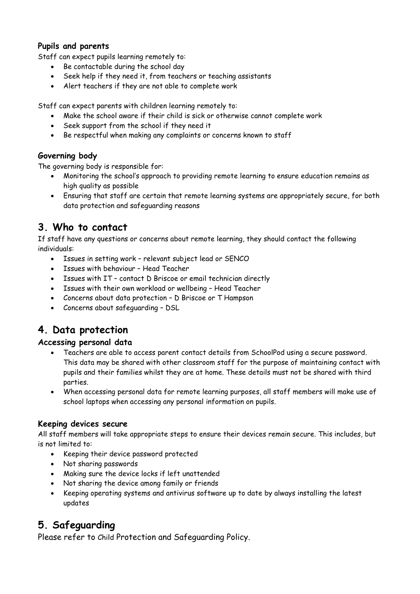#### **Pupils and parents**

Staff can expect pupils learning remotely to:

- Be contactable during the school day
- Seek help if they need it, from teachers or teaching assistants
- Alert teachers if they are not able to complete work

Staff can expect parents with children learning remotely to:

- Make the school aware if their child is sick or otherwise cannot complete work
- Seek support from the school if they need it
- Be respectful when making any complaints or concerns known to staff

### **Governing body**

The governing body is responsible for:

- Monitoring the school's approach to providing remote learning to ensure education remains as high quality as possible
- Ensuring that staff are certain that remote learning systems are appropriately secure, for both data protection and safeguarding reasons

### **3. Who to contact**

If staff have any questions or concerns about remote learning, they should contact the following individuals:

- Issues in setting work relevant subject lead or SENCO
- Issues with behaviour Head Teacher
- Issues with IT contact D Briscoe or email technician directly
- Issues with their own workload or wellbeing Head Teacher
- Concerns about data protection D Briscoe or T Hampson
- Concerns about safeguarding DSL

### **4. Data protection**

#### **Accessing personal data**

- Teachers are able to access parent contact details from SchoolPod using a secure password. This data may be shared with other classroom staff for the purpose of maintaining contact with pupils and their families whilst they are at home. These details must not be shared with third parties.
- When accessing personal data for remote learning purposes, all staff members will make use of school laptops when accessing any personal information on pupils.

#### **Keeping devices secure**

All staff members will take appropriate steps to ensure their devices remain secure. This includes, but is not limited to:

- Keeping their device password protected
- Not sharing passwords
- Making sure the device locks if left unattended
- Not sharing the device among family or friends
- Keeping operating systems and antivirus software up to date by always installing the latest updates

### **5. Safeguarding**

Please refer to Child Protection and Safeguarding Policy.